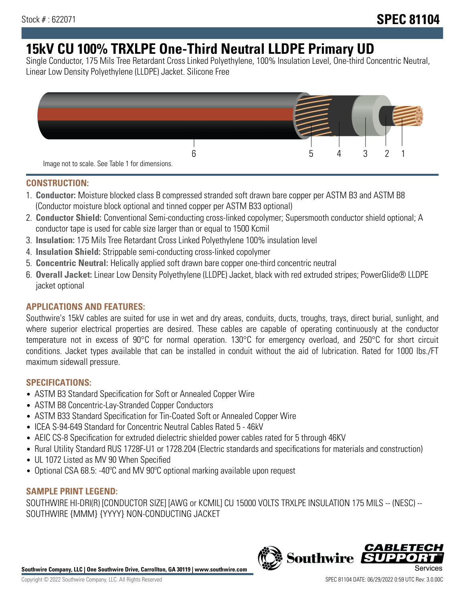# **15kV CU 100% TRXLPE One-Third Neutral LLDPE Primary UD**

Single Conductor, 175 Mils Tree Retardant Cross Linked Polyethylene, 100% Insulation Level, One-third Concentric Neutral, Linear Low Density Polyethylene (LLDPE) Jacket. Silicone Free



### **CONSTRUCTION:**

- 1. **Conductor:** Moisture blocked class B compressed stranded soft drawn bare copper per ASTM B3 and ASTM B8 (Conductor moisture block optional and tinned copper per ASTM B33 optional)
- 2. **Conductor Shield:** Conventional Semi-conducting cross-linked copolymer; Supersmooth conductor shield optional; A conductor tape is used for cable size larger than or equal to 1500 Kcmil
- 3. **Insulation:** 175 Mils Tree Retardant Cross Linked Polyethylene 100% insulation level
- 4. **Insulation Shield:** Strippable semi-conducting cross-linked copolymer
- 5. **Concentric Neutral:** Helically applied soft drawn bare copper one-third concentric neutral
- 6. **Overall Jacket:** Linear Low Density Polyethylene (LLDPE) Jacket, black with red extruded stripes; PowerGlide® LLDPE jacket optional

## **APPLICATIONS AND FEATURES:**

Southwire's 15kV cables are suited for use in wet and dry areas, conduits, ducts, troughs, trays, direct burial, sunlight, and where superior electrical properties are desired. These cables are capable of operating continuously at the conductor temperature not in excess of 90°C for normal operation. 130°C for emergency overload, and 250°C for short circuit conditions. Jacket types available that can be installed in conduit without the aid of lubrication. Rated for 1000 lbs./FT maximum sidewall pressure.

## **SPECIFICATIONS:**

- ASTM B3 Standard Specification for Soft or Annealed Copper Wire
- ASTM B8 Concentric-Lay-Stranded Copper Conductors
- ASTM B33 Standard Specification for Tin-Coated Soft or Annealed Copper Wire
- ICEA S-94-649 Standard for Concentric Neutral Cables Rated 5 46kV
- AEIC CS-8 Specification for extruded dielectric shielded power cables rated for 5 through 46KV
- Rural Utility Standard RUS 1728F-U1 or 1728.204 (Electric standards and specifications for materials and construction)
- UL 1072 Listed as MV 90 When Specified
- Optional CSA 68.5: -40ºC and MV 90ºC optional marking available upon request

## **SAMPLE PRINT LEGEND:**

SOUTHWIRE HI-DRI(R) [CONDUCTOR SIZE] [AWG or KCMIL] CU 15000 VOLTS TRXLPE INSULATION 175 MILS -- (NESC) -- SOUTHWIRE {MMM} {YYYY} NON-CONDUCTING JACKET

**Southwire Company, LLC | One Southwire Drive, Carrollton, GA 30119 | www.southwire.com**

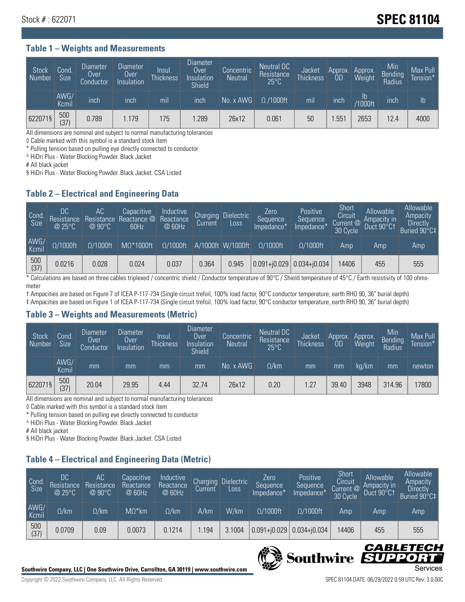## Stock # : 622071 **Stock # : 622071**

#### **Table 1 – Weights and Measurements**

| Stock<br>Number | Cond.<br><b>Size</b> | <b>Diameter</b><br>Over<br>Conductor | Diameter<br>Over<br>Insulation | Insul.<br><b>Thickness</b> | <b>Diameter</b><br>Over<br>Insulation<br><b>Shield</b> | Concentric<br><b>Neutral</b> | Neutral DC<br>Resistance<br>$25^{\circ}C$ | Jacket<br><b>Thickness</b> | Approx.<br><b>OD</b> | Approx.<br>Weight    | Min<br><b>Bending</b><br>Radius | Max Pull<br>Tension* |
|-----------------|----------------------|--------------------------------------|--------------------------------|----------------------------|--------------------------------------------------------|------------------------------|-------------------------------------------|----------------------------|----------------------|----------------------|---------------------------------|----------------------|
|                 | AWG/<br>Kcmil        | inch                                 | inch                           | mil                        | inch                                                   | No. x AWG                    | $\Omega$ /1000ft                          | mil                        | inch                 | Ib<br><b>Y1000ft</b> | inch                            | $\mathsf{lb}$        |
| 622071§         | 500<br>(37)          | 0.789                                | 1.179                          | 175                        | .289                                                   | 26x12                        | 0.061                                     | 50                         | .55 <sup>1</sup>     | 2653                 | 12.4                            | 4000                 |

All dimensions are nominal and subject to normal manufacturing tolerances

◊ Cable marked with this symbol is a standard stock item

\* Pulling tension based on pulling eye directly connected to conductor

^ HiDri Plus - Water Blocking Powder. Black Jacket

# All black jacket

§ HiDri Plus - Water Blocking Powder. Black Jacket. CSA Listed

### **Table 2 – Electrical and Engineering Data**

| Cond<br>Size  | DC<br>Resistance<br>@25°C | <b>AC</b><br>Resistance<br>$@90^{\circ}C$ | Capacitive<br>Reactance @<br>60Hz | /Inductive<br>Reactance<br>@ 60Hz | Charging<br>Current | <b>Dielectric</b><br>Loss | Zero<br>Sequence<br>Impedance*    | Positive<br>Sequence<br>Impedance <sup>+</sup> | Short<br>Circuit<br>Current @<br>30 Cycle | Allowable<br>Ampacity in<br>Duct 90°C1 | Allowable<br>Ampacity<br><b>Directly</b><br>Buried 90°C‡ |
|---------------|---------------------------|-------------------------------------------|-----------------------------------|-----------------------------------|---------------------|---------------------------|-----------------------------------|------------------------------------------------|-------------------------------------------|----------------------------------------|----------------------------------------------------------|
| AWG/<br>Kcmil | $\Omega/1000$ ft          | $\Omega/1000$ ft                          | $M\Omega^*1000ft$                 | $\Omega/1000$ ft                  |                     | A/1000ft W/1000ft         | $Q/1000$ ft                       | $\Omega$ /1000ft                               | Amp                                       | Amp                                    | Amp                                                      |
| 500<br>(37)   | 0.0216                    | 0.028                                     | 0.024                             | 0.037                             | 0.364               | 0.945                     | $ 0.091 + i0.029 0.034 + i0.034 $ |                                                | 14406                                     | 455                                    | 555                                                      |

\* Calculations are based on three cables triplexed / concentric shield / Conductor temperature of 90°C / Shield temperature of 45°C / Earth resistivity of 100 ohmsmeter

† Ampacities are based on Figure 7 of ICEA P-117-734 (Single circuit trefoil, 100% load factor, 90°C conductor temperature, earth RHO 90, 36" burial depth) ‡ Ampacities are based on Figure 1 of ICEA P-117-734 (Single circuit trefoil, 100% load factor, 90°C conductor temperature, earth RHO 90, 36" burial depth)

### **Table 3 – Weights and Measurements (Metric)**

| Stock<br>Number | Cond.<br><b>Size</b> | <b>Diameter</b><br>Over<br>Conductor | Diameter<br>Over<br>Insulation | Insul.<br><b>Thickness</b> | <b>Diameter</b><br>Over<br>Insulation<br><b>Shield</b> | Concentric<br><b>Neutral</b> | Neutral DC<br>Resistance<br>$25^{\circ}$ C | Jacket<br><b>Thickness</b> | Approx.<br>0D | Approx.<br>Weight | Min<br>Bending | Max Pull<br>Tension* |
|-----------------|----------------------|--------------------------------------|--------------------------------|----------------------------|--------------------------------------------------------|------------------------------|--------------------------------------------|----------------------------|---------------|-------------------|----------------|----------------------|
|                 | AWG/<br>Kcmil        | mm                                   | mm                             | mm                         | mm                                                     | No. x AWG                    | $\Omega$ /km                               | mm                         | mm            | ka/km             | mm             | newton               |
| 622071§         | 500<br>(37)          | 20.04                                | 29.95                          | 4.44                       | 32.74                                                  | 26x12                        | 0.20                                       | 1.27                       | 39.40         | 3948              | 314.96         | 17800                |

All dimensions are nominal and subject to normal manufacturing tolerances

◊ Cable marked with this symbol is a standard stock item

\* Pulling tension based on pulling eye directly connected to conductor

^ HiDri Plus - Water Blocking Powder. Black Jacket

# All black jacket

§ HiDri Plus - Water Blocking Powder. Black Jacket. CSA Listed

## **Table 4 – Electrical and Engineering Data (Metric)**

| Cond<br>Size  | DC<br>Resistance<br>@25°C | AC<br>Resistance<br>$@90^{\circ}C$ | Capacitive<br>Reactance<br>@ 60Hz | Inductive<br>Reactance<br>@ 60Hz | Charging<br>Current | <b>Dielectric</b><br>Loss. | Zero<br>'Sequence,<br>Impedance* | Positive<br>Sequence<br>Impedance* | Short<br>Circuit<br>Current $@'$<br>30 Cycle | Allowable<br>Ampacity in<br>Duct 90°C1 | Allowable<br>Ampacity<br><b>Directly</b><br>Buried 90°C‡ |
|---------------|---------------------------|------------------------------------|-----------------------------------|----------------------------------|---------------------|----------------------------|----------------------------------|------------------------------------|----------------------------------------------|----------------------------------------|----------------------------------------------------------|
| AWG/<br>Kcmil | $\Omega$ /km              | $\Omega$ /km                       | $M\Omega^*$ km                    | $\Omega$ /km                     | A/km                | W/km                       | $\Omega/1000$ ft                 | $\Omega/1000$ ft                   | Amp                                          | Amp                                    | Amp                                                      |
| 500<br>(37)   | 0.0709                    | 0.09                               | 0.0073                            | 0.1214                           | .194                | 3.1004                     | $0.091 + 0.029$                  | $0.034 + 0.034$                    | 14406                                        | 455                                    | 555                                                      |



CABLE

UPPO

IS

**Southwire**